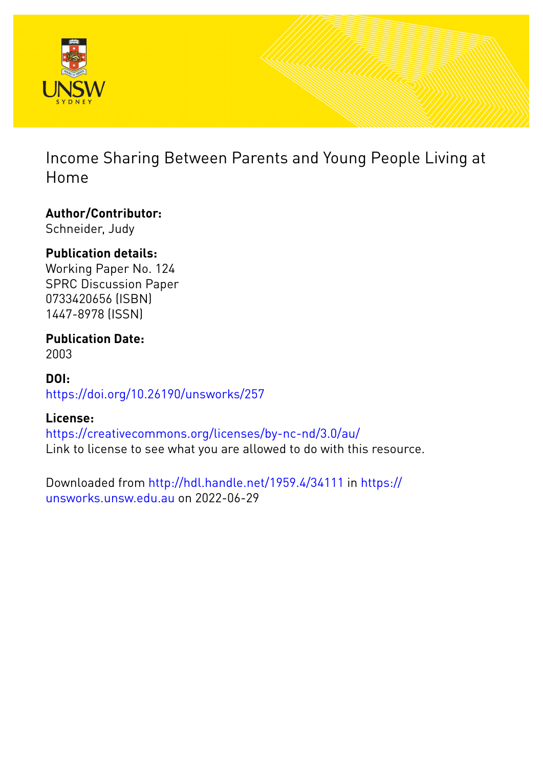

Income Sharing Between Parents and Young People Living at Home

**Author/Contributor:** Schneider, Judy

# **Publication details:**

Working Paper No. 124 SPRC Discussion Paper 0733420656 (ISBN) 1447-8978 (ISSN)

**Publication Date:** 2003

**DOI:** [https://doi.org/10.26190/unsworks/257](http://dx.doi.org/https://doi.org/10.26190/unsworks/257)

## **License:**

<https://creativecommons.org/licenses/by-nc-nd/3.0/au/> Link to license to see what you are allowed to do with this resource.

Downloaded from <http://hdl.handle.net/1959.4/34111> in [https://](https://unsworks.unsw.edu.au) [unsworks.unsw.edu.au](https://unsworks.unsw.edu.au) on 2022-06-29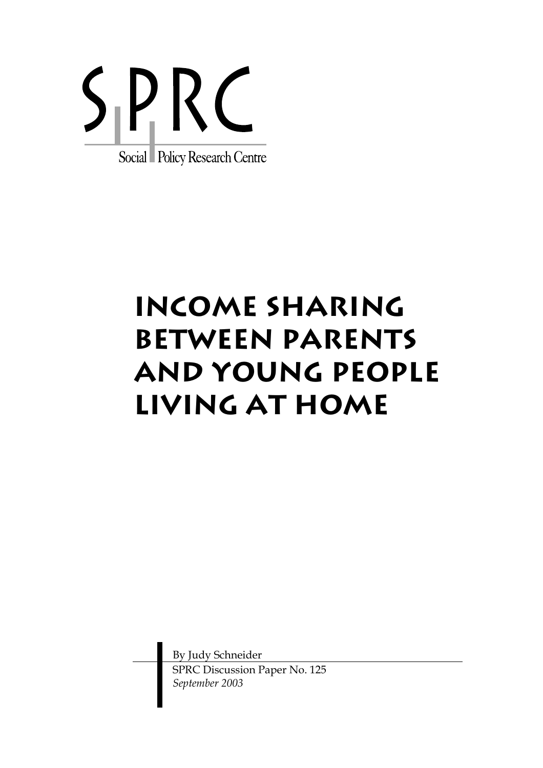

# **INCOme sharing between parents and Young people living at home**

By Judy Schneider SPRC Discussion Paper No. 125 *September 2003*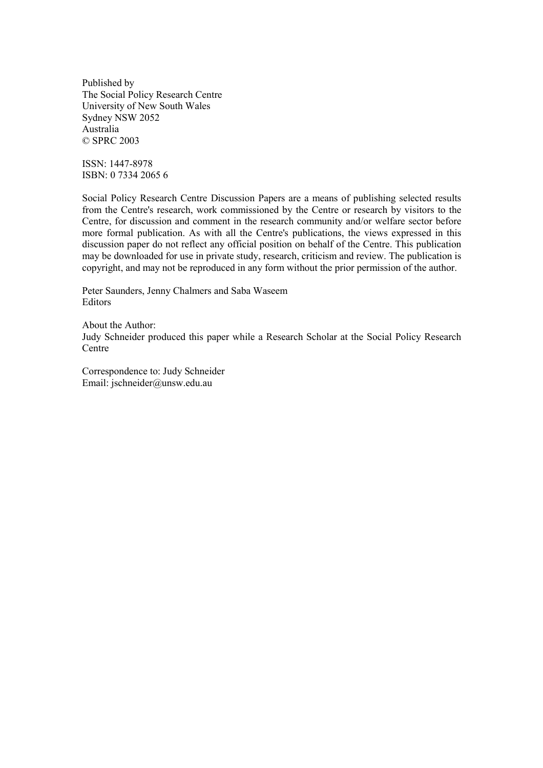Published by The Social Policy Research Centre University of New South Wales Sydney NSW 2052 Australia © SPRC 2003

ISSN: 1447-8978 ISBN: 0 7334 2065 6

Social Policy Research Centre Discussion Papers are a means of publishing selected results from the Centre's research, work commissioned by the Centre or research by visitors to the Centre, for discussion and comment in the research community and/or welfare sector before more formal publication. As with all the Centre's publications, the views expressed in this discussion paper do not reflect any official position on behalf of the Centre. This publication may be downloaded for use in private study, research, criticism and review. The publication is copyright, and may not be reproduced in any form without the prior permission of the author.

Peter Saunders, Jenny Chalmers and Saba Waseem Editors

About the Author: Judy Schneider produced this paper while a Research Scholar at the Social Policy Research Centre

Correspondence to: Judy Schneider Email: jschneider@unsw.edu.au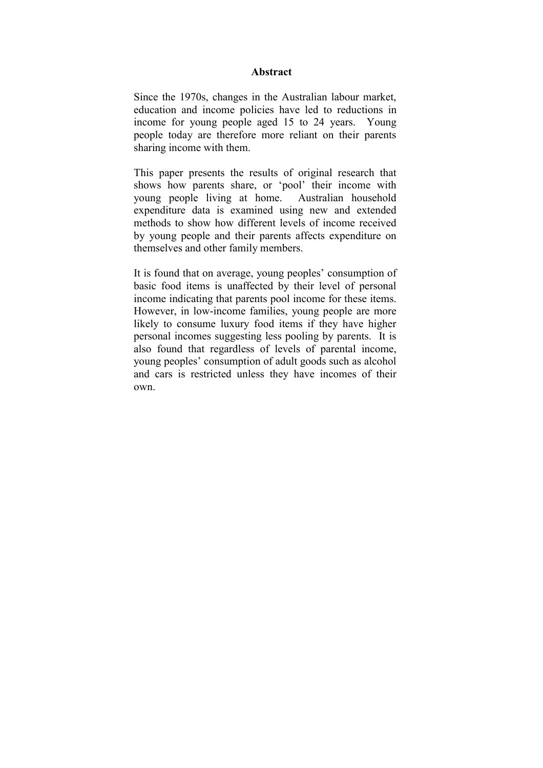#### **Abstract**

Since the 1970s, changes in the Australian labour market, education and income policies have led to reductions in income for young people aged 15 to 24 years. Young people today are therefore more reliant on their parents sharing income with them.

This paper presents the results of original research that shows how parents share, or 'pool' their income with young people living at home. Australian household expenditure data is examined using new and extended methods to show how different levels of income received by young people and their parents affects expenditure on themselves and other family members.

It is found that on average, young peoples' consumption of basic food items is unaffected by their level of personal income indicating that parents pool income for these items. However, in low-income families, young people are more likely to consume luxury food items if they have higher personal incomes suggesting less pooling by parents. It is also found that regardless of levels of parental income, young peoples' consumption of adult goods such as alcohol and cars is restricted unless they have incomes of their own.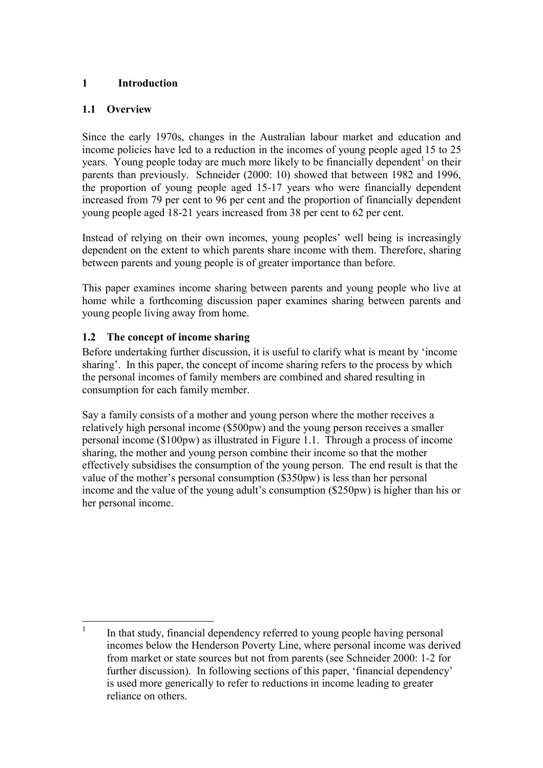## **1 Introduction**

### **1.1 Overview**

Since the early 1970s, changes in the Australian labour market and education and income policies have led to a reduction in the incomes of young people aged 15 to 25 years. Young people today are much more likely to be financially dependent<sup>1</sup> on their parents than previously. Schneider (2000: 10) showed that between 1982 and 1996, the proportion of young people aged 15-17 years who were financially dependent increased from 79 per cent to 96 per cent and the proportion of financially dependent young people aged 18-21 years increased from 38 per cent to 62 per cent.

Instead of relying on their own incomes, young peoples' well being is increasingly dependent on the extent to which parents share income with them. Therefore, sharing between parents and young people is of greater importance than before.

This paper examines income sharing between parents and young people who live at home while a forthcoming discussion paper examines sharing between parents and young people living away from home.

## **1.2 The concept of income sharing**

Before undertaking further discussion, it is useful to clarify what is meant by 'income sharing'. In this paper, the concept of income sharing refers to the process by which the personal incomes of family members are combined and shared resulting in consumption for each family member.

Say a family consists of a mother and young person where the mother receives a relatively high personal income (\$500pw) and the young person receives a smaller personal income (\$100pw) as illustrated in Figure 1.1. Through a process of income sharing, the mother and young person combine their income so that the mother effectively subsidises the consumption of the young person. The end result is that the value of the mother's personal consumption (\$350pw) is less than her personal income and the value of the young adult's consumption (\$250pw) is higher than his or her personal income.

 $\frac{1}{1}$  In that study, financial dependency referred to young people having personal incomes below the Henderson Poverty Line, where personal income was derived from market or state sources but not from parents (see Schneider 2000: 1-2 for further discussion). In following sections of this paper, 'financial dependency' is used more generically to refer to reductions in income leading to greater reliance on others.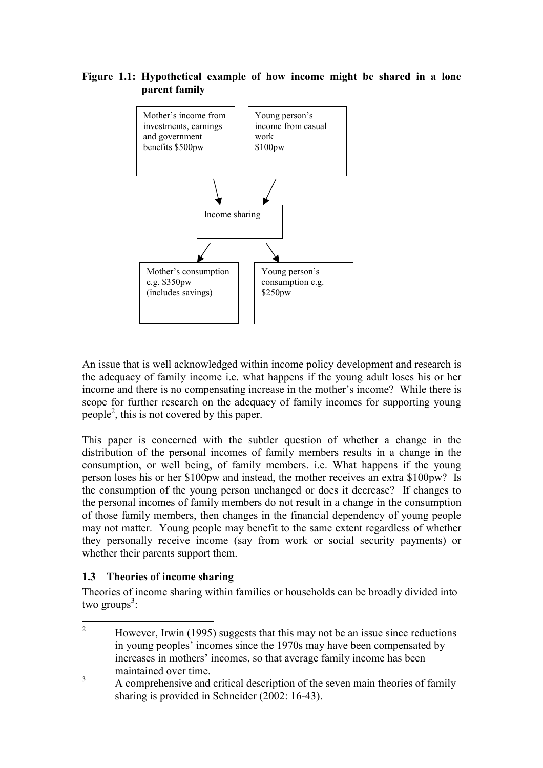#### **Figure 1.1: Hypothetical example of how income might be shared in a lone parent family**



An issue that is well acknowledged within income policy development and research is the adequacy of family income i.e. what happens if the young adult loses his or her income and there is no compensating increase in the mother's income? While there is scope for further research on the adequacy of family incomes for supporting young people<sup>2</sup>, this is not covered by this paper.

This paper is concerned with the subtler question of whether a change in the distribution of the personal incomes of family members results in a change in the consumption, or well being, of family members. i.e. What happens if the young person loses his or her \$100pw and instead, the mother receives an extra \$100pw? Is the consumption of the young person unchanged or does it decrease? If changes to the personal incomes of family members do not result in a change in the consumption of those family members, then changes in the financial dependency of young people may not matter. Young people may benefit to the same extent regardless of whether they personally receive income (say from work or social security payments) or whether their parents support them.

#### **1.3 Theories of income sharing**

Theories of income sharing within families or households can be broadly divided into two groups<sup>3</sup>:

 $\frac{1}{2}$  However, Irwin (1995) suggests that this may not be an issue since reductions in young peoples' incomes since the 1970s may have been compensated by increases in mothers' incomes, so that average family income has been maintained over time.

<sup>3</sup> A comprehensive and critical description of the seven main theories of family sharing is provided in Schneider (2002: 16-43).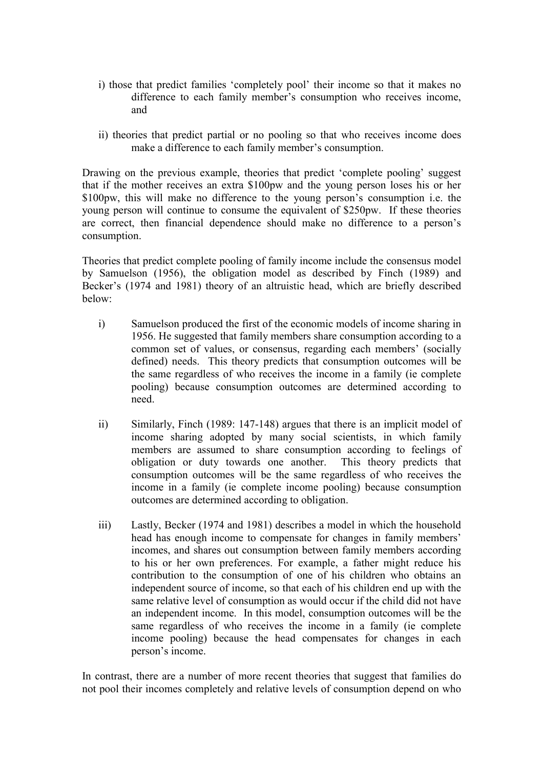- i) those that predict families 'completely pool' their income so that it makes no difference to each family member's consumption who receives income, and
- ii) theories that predict partial or no pooling so that who receives income does make a difference to each family member's consumption.

Drawing on the previous example, theories that predict 'complete pooling' suggest that if the mother receives an extra \$100pw and the young person loses his or her \$100pw, this will make no difference to the young person's consumption i.e. the young person will continue to consume the equivalent of \$250pw. If these theories are correct, then financial dependence should make no difference to a person's consumption.

Theories that predict complete pooling of family income include the consensus model by Samuelson (1956), the obligation model as described by Finch (1989) and Becker's (1974 and 1981) theory of an altruistic head, which are briefly described below:

- i) Samuelson produced the first of the economic models of income sharing in 1956. He suggested that family members share consumption according to a common set of values, or consensus, regarding each members' (socially defined) needs. This theory predicts that consumption outcomes will be the same regardless of who receives the income in a family (ie complete pooling) because consumption outcomes are determined according to need.
- ii) Similarly, Finch (1989: 147-148) argues that there is an implicit model of income sharing adopted by many social scientists, in which family members are assumed to share consumption according to feelings of obligation or duty towards one another. This theory predicts that consumption outcomes will be the same regardless of who receives the income in a family (ie complete income pooling) because consumption outcomes are determined according to obligation.
- iii) Lastly, Becker (1974 and 1981) describes a model in which the household head has enough income to compensate for changes in family members' incomes, and shares out consumption between family members according to his or her own preferences. For example, a father might reduce his contribution to the consumption of one of his children who obtains an independent source of income, so that each of his children end up with the same relative level of consumption as would occur if the child did not have an independent income. In this model, consumption outcomes will be the same regardless of who receives the income in a family (ie complete income pooling) because the head compensates for changes in each person's income.

In contrast, there are a number of more recent theories that suggest that families do not pool their incomes completely and relative levels of consumption depend on who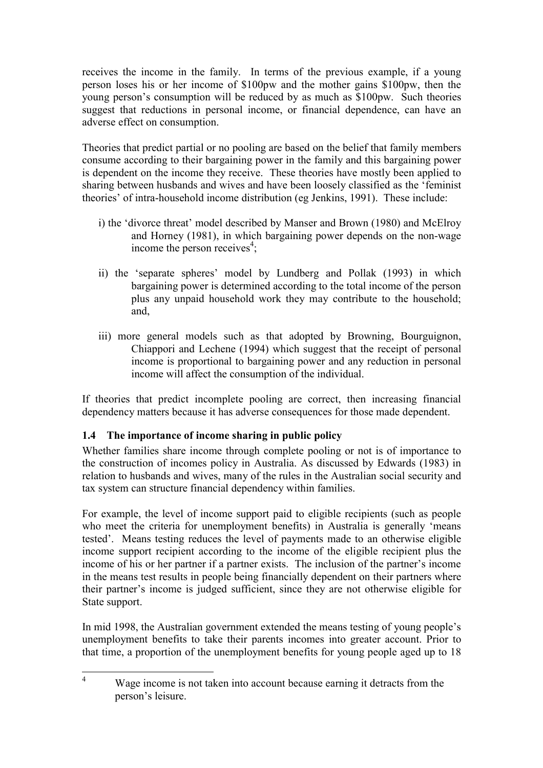receives the income in the family. In terms of the previous example, if a young person loses his or her income of \$100pw and the mother gains \$100pw, then the young person's consumption will be reduced by as much as \$100pw. Such theories suggest that reductions in personal income, or financial dependence, can have an adverse effect on consumption.

Theories that predict partial or no pooling are based on the belief that family members consume according to their bargaining power in the family and this bargaining power is dependent on the income they receive. These theories have mostly been applied to sharing between husbands and wives and have been loosely classified as the 'feminist theories' of intra-household income distribution (eg Jenkins, 1991). These include:

- i) the 'divorce threat' model described by Manser and Brown (1980) and McElroy and Horney (1981), in which bargaining power depends on the non-wage income the person receives<sup>4</sup>;
- ii) the 'separate spheres' model by Lundberg and Pollak (1993) in which bargaining power is determined according to the total income of the person plus any unpaid household work they may contribute to the household; and,
- iii) more general models such as that adopted by Browning, Bourguignon, Chiappori and Lechene (1994) which suggest that the receipt of personal income is proportional to bargaining power and any reduction in personal income will affect the consumption of the individual.

If theories that predict incomplete pooling are correct, then increasing financial dependency matters because it has adverse consequences for those made dependent.

## **1.4 The importance of income sharing in public policy**

Whether families share income through complete pooling or not is of importance to the construction of incomes policy in Australia. As discussed by Edwards (1983) in relation to husbands and wives, many of the rules in the Australian social security and tax system can structure financial dependency within families.

For example, the level of income support paid to eligible recipients (such as people who meet the criteria for unemployment benefits) in Australia is generally 'means tested'. Means testing reduces the level of payments made to an otherwise eligible income support recipient according to the income of the eligible recipient plus the income of his or her partner if a partner exists. The inclusion of the partner's income in the means test results in people being financially dependent on their partners where their partner's income is judged sufficient, since they are not otherwise eligible for State support.

In mid 1998, the Australian government extended the means testing of young people's unemployment benefits to take their parents incomes into greater account. Prior to that time, a proportion of the unemployment benefits for young people aged up to 18

 $\frac{1}{4}$  Wage income is not taken into account because earning it detracts from the person's leisure.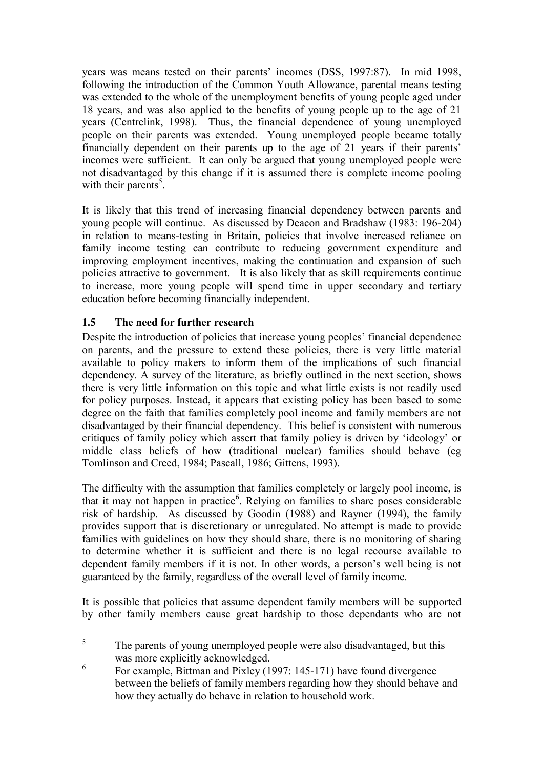years was means tested on their parents' incomes (DSS, 1997:87). In mid 1998, following the introduction of the Common Youth Allowance, parental means testing was extended to the whole of the unemployment benefits of young people aged under 18 years, and was also applied to the benefits of young people up to the age of 21 years (Centrelink, 1998). Thus, the financial dependence of young unemployed people on their parents was extended. Young unemployed people became totally financially dependent on their parents up to the age of 21 years if their parents' incomes were sufficient. It can only be argued that young unemployed people were not disadvantaged by this change if it is assumed there is complete income pooling with their parents<sup>5</sup>.

It is likely that this trend of increasing financial dependency between parents and young people will continue. As discussed by Deacon and Bradshaw (1983: 196-204) in relation to means-testing in Britain, policies that involve increased reliance on family income testing can contribute to reducing government expenditure and improving employment incentives, making the continuation and expansion of such policies attractive to government. It is also likely that as skill requirements continue to increase, more young people will spend time in upper secondary and tertiary education before becoming financially independent.

## **1.5 The need for further research**

Despite the introduction of policies that increase young peoples' financial dependence on parents, and the pressure to extend these policies, there is very little material available to policy makers to inform them of the implications of such financial dependency. A survey of the literature, as briefly outlined in the next section, shows there is very little information on this topic and what little exists is not readily used for policy purposes. Instead, it appears that existing policy has been based to some degree on the faith that families completely pool income and family members are not disadvantaged by their financial dependency. This belief is consistent with numerous critiques of family policy which assert that family policy is driven by 'ideology' or middle class beliefs of how (traditional nuclear) families should behave (eg Tomlinson and Creed, 1984; Pascall, 1986; Gittens, 1993).

The difficulty with the assumption that families completely or largely pool income, is that it may not happen in practice<sup>6</sup>. Relying on families to share poses considerable risk of hardship. As discussed by Goodin (1988) and Rayner (1994), the family provides support that is discretionary or unregulated. No attempt is made to provide families with guidelines on how they should share, there is no monitoring of sharing to determine whether it is sufficient and there is no legal recourse available to dependent family members if it is not. In other words, a person's well being is not guaranteed by the family, regardless of the overall level of family income.

It is possible that policies that assume dependent family members will be supported by other family members cause great hardship to those dependants who are not

 $\frac{1}{5}$  The parents of young unemployed people were also disadvantaged, but this was more explicitly acknowledged.

 $\frac{6}{100}$  For example, Bittman and Pixley (1997: 145-171) have found divergence between the beliefs of family members regarding how they should behave and how they actually do behave in relation to household work.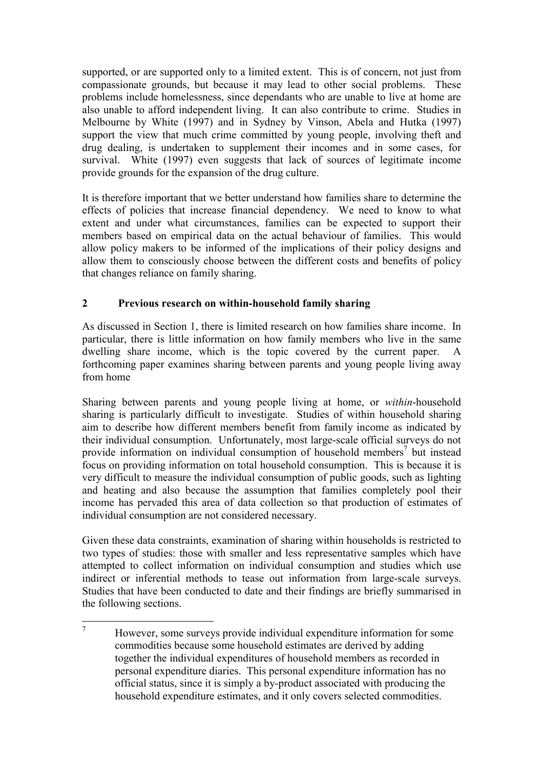supported, or are supported only to a limited extent. This is of concern, not just from compassionate grounds, but because it may lead to other social problems. These problems include homelessness, since dependants who are unable to live at home are also unable to afford independent living. It can also contribute to crime. Studies in Melbourne by White (1997) and in Sydney by Vinson, Abela and Hutka (1997) support the view that much crime committed by young people, involving theft and drug dealing, is undertaken to supplement their incomes and in some cases, for survival. White (1997) even suggests that lack of sources of legitimate income provide grounds for the expansion of the drug culture.

It is therefore important that we better understand how families share to determine the effects of policies that increase financial dependency. We need to know to what extent and under what circumstances, families can be expected to support their members based on empirical data on the actual behaviour of families. This would allow policy makers to be informed of the implications of their policy designs and allow them to consciously choose between the different costs and benefits of policy that changes reliance on family sharing.

## **2 Previous research on within-household family sharing**

As discussed in Section 1, there is limited research on how families share income. In particular, there is little information on how family members who live in the same dwelling share income, which is the topic covered by the current paper. A forthcoming paper examines sharing between parents and young people living away from home

Sharing between parents and young people living at home, or *within*-household sharing is particularly difficult to investigate. Studies of within household sharing aim to describe how different members benefit from family income as indicated by their individual consumption. Unfortunately, most large-scale official surveys do not provide information on individual consumption of household members<sup>7</sup> but instead focus on providing information on total household consumption. This is because it is very difficult to measure the individual consumption of public goods, such as lighting and heating and also because the assumption that families completely pool their income has pervaded this area of data collection so that production of estimates of individual consumption are not considered necessary.

Given these data constraints, examination of sharing within households is restricted to two types of studies: those with smaller and less representative samples which have attempted to collect information on individual consumption and studies which use indirect or inferential methods to tease out information from large-scale surveys. Studies that have been conducted to date and their findings are briefly summarised in the following sections.

 7 However, some surveys provide individual expenditure information for some commodities because some household estimates are derived by adding together the individual expenditures of household members as recorded in personal expenditure diaries. This personal expenditure information has no official status, since it is simply a by-product associated with producing the household expenditure estimates, and it only covers selected commodities.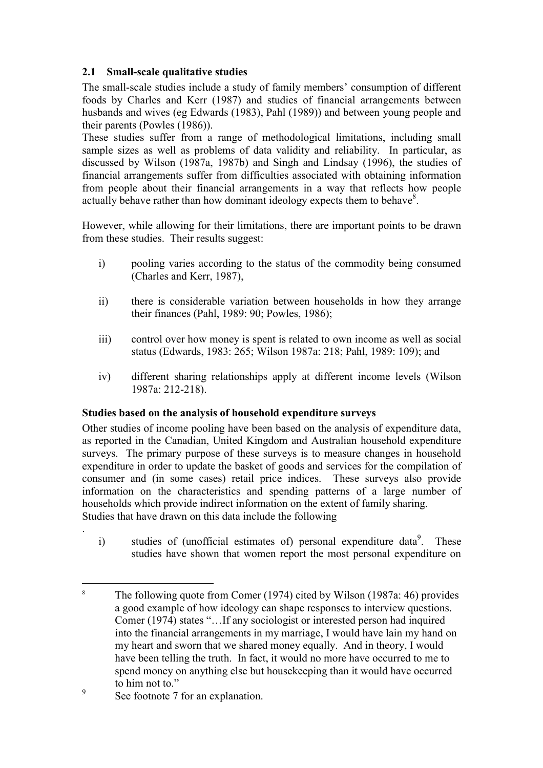## **2.1 Small-scale qualitative studies**

The small-scale studies include a study of family members' consumption of different foods by Charles and Kerr (1987) and studies of financial arrangements between husbands and wives (eg Edwards (1983), Pahl (1989)) and between young people and their parents (Powles (1986)).

These studies suffer from a range of methodological limitations, including small sample sizes as well as problems of data validity and reliability. In particular, as discussed by Wilson (1987a, 1987b) and Singh and Lindsay (1996), the studies of financial arrangements suffer from difficulties associated with obtaining information from people about their financial arrangements in a way that reflects how people actually behave rather than how dominant ideology expects them to behave $8$ .

However, while allowing for their limitations, there are important points to be drawn from these studies. Their results suggest:

- i) pooling varies according to the status of the commodity being consumed (Charles and Kerr, 1987),
- ii) there is considerable variation between households in how they arrange their finances (Pahl, 1989: 90; Powles, 1986);
- iii) control over how money is spent is related to own income as well as social status (Edwards, 1983: 265; Wilson 1987a: 218; Pahl, 1989: 109); and
- iv) different sharing relationships apply at different income levels (Wilson 1987a: 212-218).

#### **Studies based on the analysis of household expenditure surveys**

Other studies of income pooling have been based on the analysis of expenditure data, as reported in the Canadian, United Kingdom and Australian household expenditure surveys. The primary purpose of these surveys is to measure changes in household expenditure in order to update the basket of goods and services for the compilation of consumer and (in some cases) retail price indices. These surveys also provide information on the characteristics and spending patterns of a large number of households which provide indirect information on the extent of family sharing. Studies that have drawn on this data include the following

i) studies of (unofficial estimates of) personal expenditure data<sup>9</sup>. These studies have shown that women report the most personal expenditure on

.

 $\overline{a}$ 

<sup>8</sup> The following quote from Comer (1974) cited by Wilson (1987a: 46) provides a good example of how ideology can shape responses to interview questions. Comer (1974) states "…If any sociologist or interested person had inquired into the financial arrangements in my marriage, I would have lain my hand on my heart and sworn that we shared money equally. And in theory, I would have been telling the truth. In fact, it would no more have occurred to me to spend money on anything else but housekeeping than it would have occurred to him not to."

<sup>9</sup> See footnote 7 for an explanation.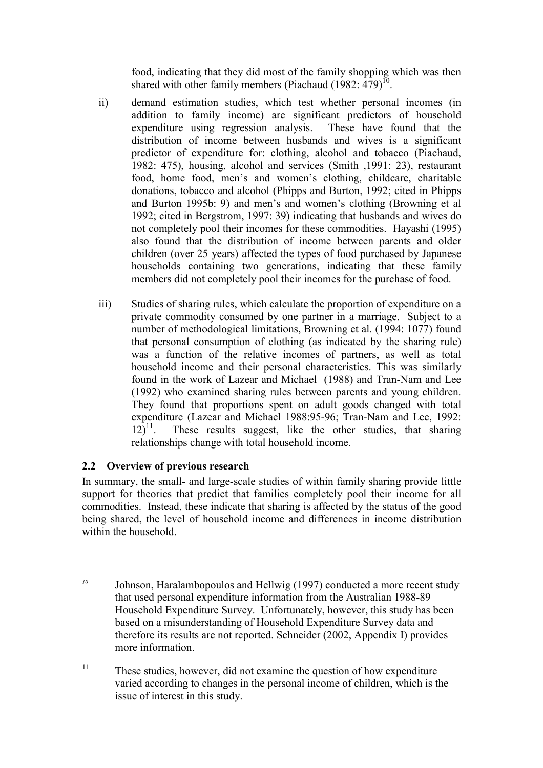food, indicating that they did most of the family shopping which was then shared with other family members (Piachaud  $(1982: 479)^{10}$ .

- ii) demand estimation studies, which test whether personal incomes (in addition to family income) are significant predictors of household expenditure using regression analysis. These have found that the distribution of income between husbands and wives is a significant predictor of expenditure for: clothing, alcohol and tobacco (Piachaud, 1982: 475), housing, alcohol and services (Smith ,1991: 23), restaurant food, home food, men's and women's clothing, childcare, charitable donations, tobacco and alcohol (Phipps and Burton, 1992; cited in Phipps and Burton 1995b: 9) and men's and women's clothing (Browning et al 1992; cited in Bergstrom, 1997: 39) indicating that husbands and wives do not completely pool their incomes for these commodities. Hayashi (1995) also found that the distribution of income between parents and older children (over 25 years) affected the types of food purchased by Japanese households containing two generations, indicating that these family members did not completely pool their incomes for the purchase of food.
- iii) Studies of sharing rules, which calculate the proportion of expenditure on a private commodity consumed by one partner in a marriage. Subject to a number of methodological limitations, Browning et al. (1994: 1077) found that personal consumption of clothing (as indicated by the sharing rule) was a function of the relative incomes of partners, as well as total household income and their personal characteristics. This was similarly found in the work of Lazear and Michael (1988) and Tran-Nam and Lee (1992) who examined sharing rules between parents and young children. They found that proportions spent on adult goods changed with total expenditure (Lazear and Michael 1988:95-96; Tran-Nam and Lee, 1992:  $12)^{11}$ . These results suggest, like the other studies, that sharing relationships change with total household income.

## **2.2 Overview of previous research**

In summary, the small- and large-scale studies of within family sharing provide little support for theories that predict that families completely pool their income for all commodities. Instead, these indicate that sharing is affected by the status of the good being shared, the level of household income and differences in income distribution within the household.

 $\overline{a}$ *<sup>10</sup>* Johnson, Haralambopoulos and Hellwig (1997) conducted a more recent study that used personal expenditure information from the Australian 1988-89 Household Expenditure Survey. Unfortunately, however, this study has been based on a misunderstanding of Household Expenditure Survey data and therefore its results are not reported. Schneider (2002, Appendix I) provides more information.

<sup>&</sup>lt;sup>11</sup> These studies, however, did not examine the question of how expenditure varied according to changes in the personal income of children, which is the issue of interest in this study.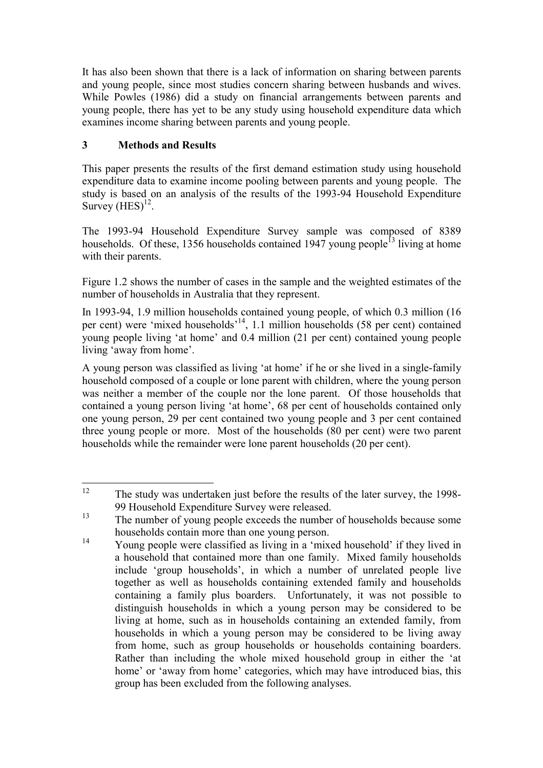It has also been shown that there is a lack of information on sharing between parents and young people, since most studies concern sharing between husbands and wives. While Powles (1986) did a study on financial arrangements between parents and young people, there has yet to be any study using household expenditure data which examines income sharing between parents and young people.

## **3 Methods and Results**

This paper presents the results of the first demand estimation study using household expenditure data to examine income pooling between parents and young people. The study is based on an analysis of the results of the 1993-94 Household Expenditure Survey  $(HES)^{12}$ .

The 1993-94 Household Expenditure Survey sample was composed of 8389 households. Of these, 1356 households contained 1947 young people<sup>13</sup> living at home with their parents.

Figure 1.2 shows the number of cases in the sample and the weighted estimates of the number of households in Australia that they represent.

In 1993-94, 1.9 million households contained young people, of which 0.3 million (16 per cent) were 'mixed households'14, 1.1 million households (58 per cent) contained young people living 'at home' and 0.4 million (21 per cent) contained young people living 'away from home'.

A young person was classified as living 'at home' if he or she lived in a single-family household composed of a couple or lone parent with children, where the young person was neither a member of the couple nor the lone parent. Of those households that contained a young person living 'at home', 68 per cent of households contained only one young person, 29 per cent contained two young people and 3 per cent contained three young people or more. Most of the households (80 per cent) were two parent households while the remainder were lone parent households (20 per cent).

 $12$ 12 The study was undertaken just before the results of the later survey, the 1998- 99 Household Expenditure Survey were released.

<sup>&</sup>lt;sup>13</sup> The number of young people exceeds the number of households because some households contain more than one young person.

<sup>&</sup>lt;sup>14</sup> Young people were classified as living in a 'mixed household' if they lived in a household that contained more than one family. Mixed family households include 'group households', in which a number of unrelated people live together as well as households containing extended family and households containing a family plus boarders. Unfortunately, it was not possible to distinguish households in which a young person may be considered to be living at home, such as in households containing an extended family, from households in which a young person may be considered to be living away from home, such as group households or households containing boarders. Rather than including the whole mixed household group in either the 'at home' or 'away from home' categories, which may have introduced bias, this group has been excluded from the following analyses.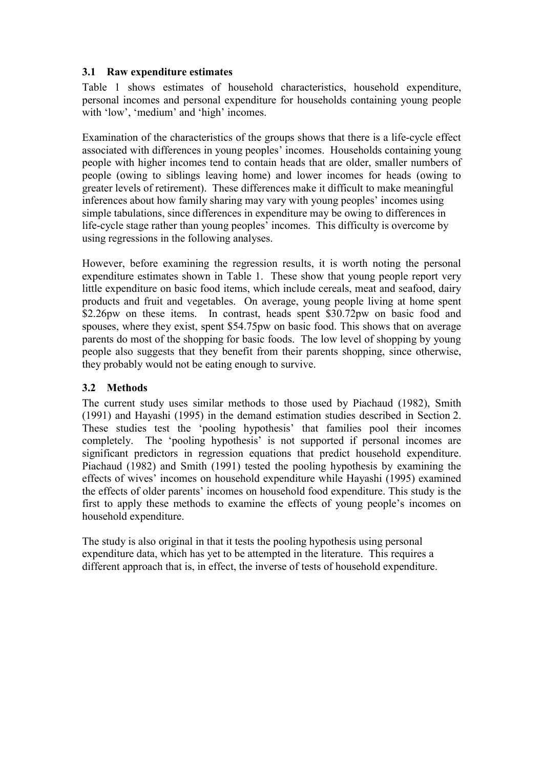#### **3.1 Raw expenditure estimates**

Table 1 shows estimates of household characteristics, household expenditure, personal incomes and personal expenditure for households containing young people with 'low', 'medium' and 'high' incomes.

Examination of the characteristics of the groups shows that there is a life-cycle effect associated with differences in young peoples' incomes. Households containing young people with higher incomes tend to contain heads that are older, smaller numbers of people (owing to siblings leaving home) and lower incomes for heads (owing to greater levels of retirement). These differences make it difficult to make meaningful inferences about how family sharing may vary with young peoples' incomes using simple tabulations, since differences in expenditure may be owing to differences in life-cycle stage rather than young peoples' incomes. This difficulty is overcome by using regressions in the following analyses.

However, before examining the regression results, it is worth noting the personal expenditure estimates shown in Table 1. These show that young people report very little expenditure on basic food items, which include cereals, meat and seafood, dairy products and fruit and vegetables. On average, young people living at home spent \$2.26pw on these items. In contrast, heads spent \$30.72pw on basic food and spouses, where they exist, spent \$54.75pw on basic food. This shows that on average parents do most of the shopping for basic foods. The low level of shopping by young people also suggests that they benefit from their parents shopping, since otherwise, they probably would not be eating enough to survive.

## **3.2 Methods**

The current study uses similar methods to those used by Piachaud (1982), Smith (1991) and Hayashi (1995) in the demand estimation studies described in Section 2. These studies test the 'pooling hypothesis' that families pool their incomes completely. The 'pooling hypothesis' is not supported if personal incomes are significant predictors in regression equations that predict household expenditure. Piachaud (1982) and Smith (1991) tested the pooling hypothesis by examining the effects of wives' incomes on household expenditure while Hayashi (1995) examined the effects of older parents' incomes on household food expenditure. This study is the first to apply these methods to examine the effects of young people's incomes on household expenditure.

The study is also original in that it tests the pooling hypothesis using personal expenditure data, which has yet to be attempted in the literature. This requires a different approach that is, in effect, the inverse of tests of household expenditure.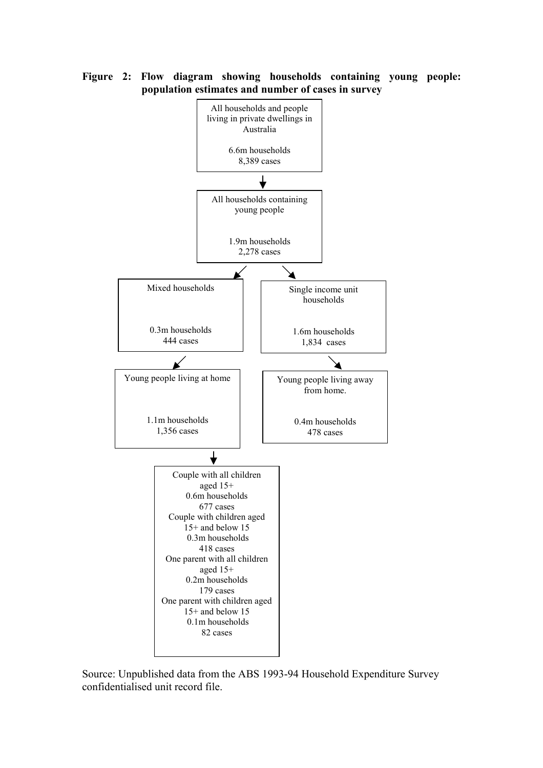

**Figure 2: Flow diagram showing households containing young people: population estimates and number of cases in survey** 

Source: Unpublished data from the ABS 1993-94 Household Expenditure Survey confidentialised unit record file.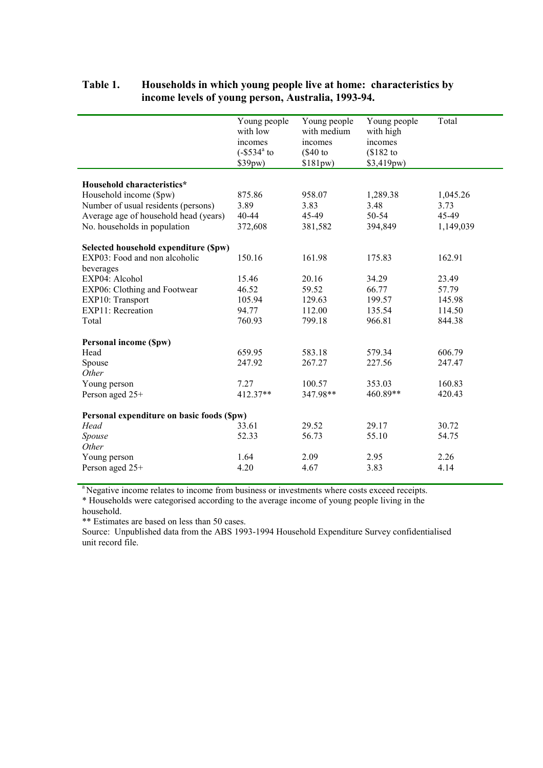|                                            | Young people<br>with low<br>incomes<br>$(-\$534^{\circ}$ to<br>\$39pw) | Young people<br>with medium<br>incomes<br>$(\$40$ to<br>$$181pw$ ) | Young people<br>with high<br>incomes<br>$$182$ to<br>\$3,419pw) | Total     |  |  |
|--------------------------------------------|------------------------------------------------------------------------|--------------------------------------------------------------------|-----------------------------------------------------------------|-----------|--|--|
| Household characteristics*                 |                                                                        |                                                                    |                                                                 |           |  |  |
| Household income (\$pw)                    | 875.86                                                                 | 958.07                                                             | 1,289.38                                                        | 1,045.26  |  |  |
| Number of usual residents (persons)        | 3.89                                                                   | 3.83                                                               | 3.48                                                            | 3.73      |  |  |
| Average age of household head (years)      | $40 - 44$                                                              | 45-49                                                              | 50-54                                                           | 45-49     |  |  |
| No. households in population               | 372,608                                                                | 381,582                                                            | 394,849                                                         | 1,149,039 |  |  |
| Selected household expenditure (\$pw)      |                                                                        |                                                                    |                                                                 |           |  |  |
| EXP03: Food and non alcoholic              | 150.16                                                                 | 161.98                                                             | 175.83                                                          | 162.91    |  |  |
| beverages                                  |                                                                        |                                                                    |                                                                 |           |  |  |
| EXP04: Alcohol                             | 15.46                                                                  | 20.16                                                              | 34.29                                                           | 23.49     |  |  |
| EXP06: Clothing and Footwear               | 46.52                                                                  | 59.52                                                              | 66.77                                                           | 57.79     |  |  |
| EXP10: Transport                           | 105.94                                                                 | 129.63                                                             | 199.57                                                          | 145.98    |  |  |
| EXP11: Recreation                          | 94.77                                                                  | 112.00                                                             | 135.54                                                          | 114.50    |  |  |
| Total                                      | 760.93                                                                 | 799.18                                                             | 966.81                                                          | 844.38    |  |  |
| <b>Personal income (Spw)</b>               |                                                                        |                                                                    |                                                                 |           |  |  |
| Head                                       | 659.95                                                                 | 583.18                                                             | 579.34                                                          | 606.79    |  |  |
| Spouse                                     | 247.92                                                                 | 267.27                                                             | 227.56                                                          | 247.47    |  |  |
| Other                                      |                                                                        |                                                                    |                                                                 |           |  |  |
| Young person                               | 7.27                                                                   | 100.57                                                             | 353.03                                                          | 160.83    |  |  |
| Person aged 25+                            | $412.37**$                                                             | 347.98**                                                           | 460.89**                                                        | 420.43    |  |  |
| Personal expenditure on basic foods (\$pw) |                                                                        |                                                                    |                                                                 |           |  |  |
| Head                                       | 33.61                                                                  | 29.52                                                              | 29.17                                                           | 30.72     |  |  |
| Spouse                                     | 52.33                                                                  | 56.73                                                              | 55.10                                                           | 54.75     |  |  |
| Other                                      |                                                                        |                                                                    |                                                                 |           |  |  |
| Young person                               | 1.64                                                                   | 2.09                                                               | 2.95                                                            | 2.26      |  |  |
| Person aged 25+                            | 4.20                                                                   | 4.67                                                               | 3.83                                                            | 4.14      |  |  |
|                                            |                                                                        |                                                                    |                                                                 |           |  |  |

### **Table 1. Households in which young people live at home: characteristics by income levels of young person, Australia, 1993-94.**

<sup>a</sup> Negative income relates to income from business or investments where costs exceed receipts.

\* Households were categorised according to the average income of young people living in the household.

\*\* Estimates are based on less than 50 cases.

Source: Unpublished data from the ABS 1993-1994 Household Expenditure Survey confidentialised unit record file.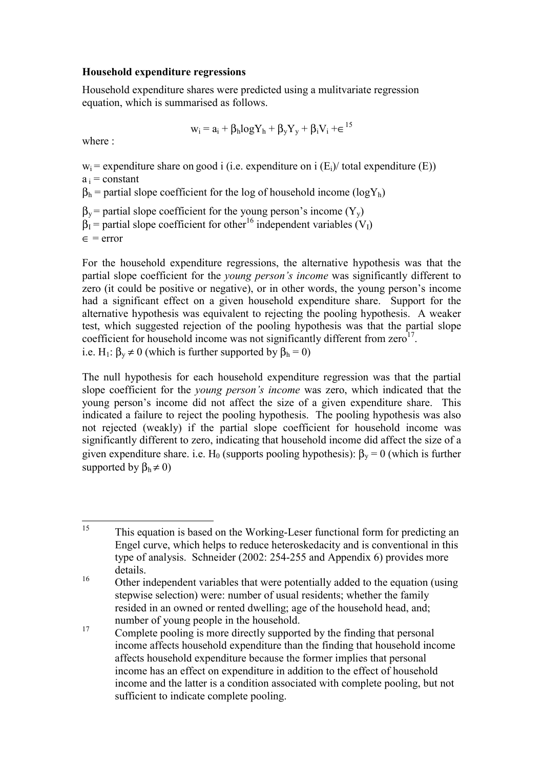#### **Household expenditure regressions**

Household expenditure shares were predicted using a mulitvariate regression equation, which is summarised as follows.

$$
w_i = a_i + \beta_h log Y_h + \beta_y Y_y + \beta_i V_i + \varepsilon^{15}
$$

where :

 $w_i$  = expenditure share on good i (i.e. expenditure on i (E<sub>i</sub>)/ total expenditure (E))

 $a_i$  = constant

 $\beta_h$  = partial slope coefficient for the log of household income (logY<sub>h</sub>)

 $\beta_y$  = partial slope coefficient for the young person's income  $(Y_y)$ 

```
\beta_I = partial slope coefficient for other<sup>16</sup> independent variables (V<sub>I</sub>)
```
 $\epsilon$  = error

For the household expenditure regressions, the alternative hypothesis was that the partial slope coefficient for the *young person's income* was significantly different to zero (it could be positive or negative), or in other words, the young person's income had a significant effect on a given household expenditure share. Support for the alternative hypothesis was equivalent to rejecting the pooling hypothesis. A weaker test, which suggested rejection of the pooling hypothesis was that the partial slope coefficient for household income was not significantly different from  $zero<sup>17</sup>$ . i.e. H<sub>1</sub>:  $\beta_v \neq 0$  (which is further supported by  $\beta_h = 0$ )

The null hypothesis for each household expenditure regression was that the partial slope coefficient for the *young person's income* was zero, which indicated that the young person's income did not affect the size of a given expenditure share. This indicated a failure to reject the pooling hypothesis. The pooling hypothesis was also not rejected (weakly) if the partial slope coefficient for household income was significantly different to zero, indicating that household income did affect the size of a given expenditure share. i.e. H<sub>0</sub> (supports pooling hypothesis):  $\beta_v = 0$  (which is further supported by  $\beta_h \neq 0$ )

<sup>15</sup> 15 This equation is based on the Working-Leser functional form for predicting an Engel curve, which helps to reduce heteroskedacity and is conventional in this type of analysis. Schneider (2002: 254-255 and Appendix 6) provides more details.

<sup>&</sup>lt;sup>16</sup> Other independent variables that were potentially added to the equation (using stepwise selection) were: number of usual residents; whether the family resided in an owned or rented dwelling; age of the household head, and; number of young people in the household.

<sup>&</sup>lt;sup>17</sup> Complete pooling is more directly supported by the finding that personal income affects household expenditure than the finding that household income affects household expenditure because the former implies that personal income has an effect on expenditure in addition to the effect of household income and the latter is a condition associated with complete pooling, but not sufficient to indicate complete pooling.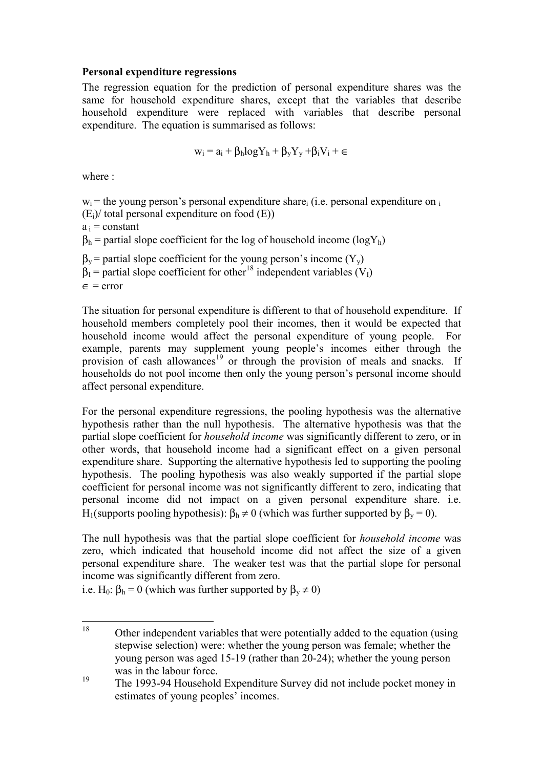#### **Personal expenditure regressions**

The regression equation for the prediction of personal expenditure shares was the same for household expenditure shares, except that the variables that describe household expenditure were replaced with variables that describe personal expenditure. The equation is summarised as follows:

$$
w_i\equiv a_i+\beta_hlogY_h+\beta_yY_y+\beta_iV_i+\in
$$

where :

 $w_i$  = the young person's personal expenditure share<sub>i</sub> (i.e. personal expenditure on  $\overline{a}$ )

 $(E_i)$  total personal expenditure on food  $(E_i)$ 

 $a_i$  = constant

 $\beta_h$  = partial slope coefficient for the log of household income (logY<sub>h</sub>)

 $\beta_y$  = partial slope coefficient for the young person's income (Y<sub>y</sub>)

 $\beta_1$  = partial slope coefficient for other<sup>18</sup> independent variables (V<sub>I</sub>)

 $\epsilon$  = error

The situation for personal expenditure is different to that of household expenditure. If household members completely pool their incomes, then it would be expected that household income would affect the personal expenditure of young people. For example, parents may supplement young people's incomes either through the provision of cash allowances<sup>19</sup> or through the provision of meals and snacks. If households do not pool income then only the young person's personal income should affect personal expenditure.

For the personal expenditure regressions, the pooling hypothesis was the alternative hypothesis rather than the null hypothesis. The alternative hypothesis was that the partial slope coefficient for *household income* was significantly different to zero, or in other words, that household income had a significant effect on a given personal expenditure share. Supporting the alternative hypothesis led to supporting the pooling hypothesis. The pooling hypothesis was also weakly supported if the partial slope coefficient for personal income was not significantly different to zero, indicating that personal income did not impact on a given personal expenditure share. i.e. H<sub>1</sub>(supports pooling hypothesis):  $β_h ≠ 0$  (which was further supported by  $β_v = 0$ ).

The null hypothesis was that the partial slope coefficient for *household income* was zero, which indicated that household income did not affect the size of a given personal expenditure share. The weaker test was that the partial slope for personal income was significantly different from zero.

i.e. H<sub>0</sub>:  $\beta_h = 0$  (which was further supported by  $\beta_v \neq 0$ )

 $18$ Other independent variables that were potentially added to the equation (using stepwise selection) were: whether the young person was female; whether the young person was aged 15-19 (rather than 20-24); whether the young person was in the labour force.

<sup>&</sup>lt;sup>19</sup> The 1993-94 Household Expenditure Survey did not include pocket money in estimates of young peoples' incomes.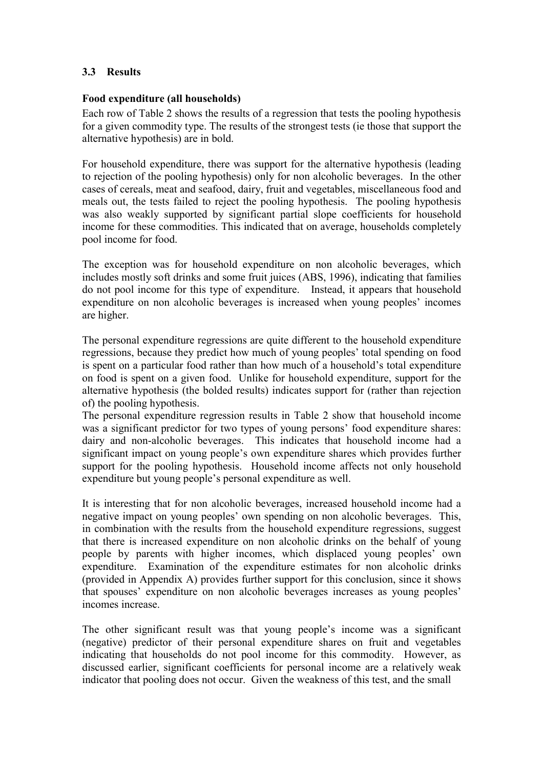### **3.3 Results**

#### **Food expenditure (all households)**

Each row of Table 2 shows the results of a regression that tests the pooling hypothesis for a given commodity type. The results of the strongest tests (ie those that support the alternative hypothesis) are in bold.

For household expenditure, there was support for the alternative hypothesis (leading to rejection of the pooling hypothesis) only for non alcoholic beverages. In the other cases of cereals, meat and seafood, dairy, fruit and vegetables, miscellaneous food and meals out, the tests failed to reject the pooling hypothesis. The pooling hypothesis was also weakly supported by significant partial slope coefficients for household income for these commodities. This indicated that on average, households completely pool income for food.

The exception was for household expenditure on non alcoholic beverages, which includes mostly soft drinks and some fruit juices (ABS, 1996), indicating that families do not pool income for this type of expenditure. Instead, it appears that household expenditure on non alcoholic beverages is increased when young peoples' incomes are higher.

The personal expenditure regressions are quite different to the household expenditure regressions, because they predict how much of young peoples' total spending on food is spent on a particular food rather than how much of a household's total expenditure on food is spent on a given food. Unlike for household expenditure, support for the alternative hypothesis (the bolded results) indicates support for (rather than rejection of) the pooling hypothesis.

The personal expenditure regression results in Table 2 show that household income was a significant predictor for two types of young persons' food expenditure shares: dairy and non-alcoholic beverages. This indicates that household income had a significant impact on young people's own expenditure shares which provides further support for the pooling hypothesis. Household income affects not only household expenditure but young people's personal expenditure as well.

It is interesting that for non alcoholic beverages, increased household income had a negative impact on young peoples' own spending on non alcoholic beverages. This, in combination with the results from the household expenditure regressions, suggest that there is increased expenditure on non alcoholic drinks on the behalf of young people by parents with higher incomes, which displaced young peoples' own expenditure. Examination of the expenditure estimates for non alcoholic drinks (provided in Appendix A) provides further support for this conclusion, since it shows that spouses' expenditure on non alcoholic beverages increases as young peoples' incomes increase.

The other significant result was that young people's income was a significant (negative) predictor of their personal expenditure shares on fruit and vegetables indicating that households do not pool income for this commodity. However, as discussed earlier, significant coefficients for personal income are a relatively weak indicator that pooling does not occur. Given the weakness of this test, and the small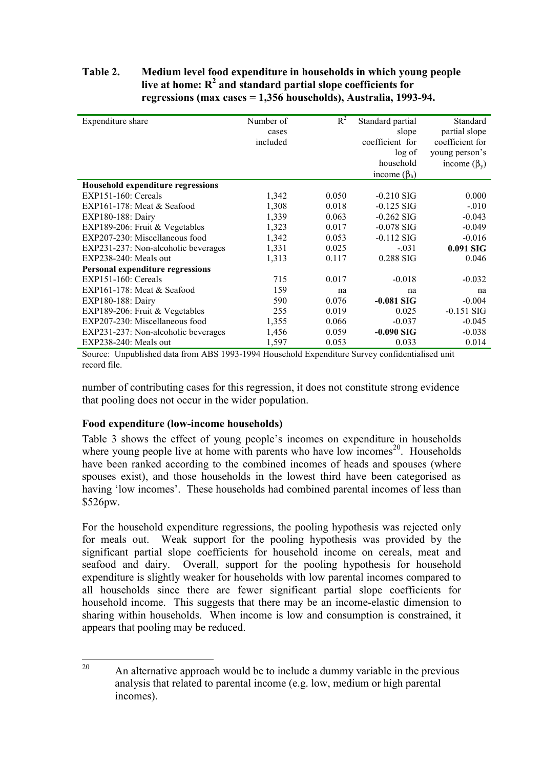#### **Table 2. Medium level food expenditure in households in which young people**  live at home: R<sup>2</sup> and standard partial slope coefficients for **regressions (max cases = 1,356 households), Australia, 1993-94.**

| Expenditure share                   | Number of<br>cases<br>included | $R^2$ | Standard partial<br>slope<br>coefficient for<br>log of<br>household | Standard<br>partial slope<br>coefficient for<br>young person's<br>income $(\beta_v)$ |
|-------------------------------------|--------------------------------|-------|---------------------------------------------------------------------|--------------------------------------------------------------------------------------|
|                                     |                                |       | income $(\beta_h)$                                                  |                                                                                      |
| Household expenditure regressions   |                                |       |                                                                     |                                                                                      |
| $EXP151-160$ : Cereals              | 1,342                          | 0.050 | $-0.210$ SIG                                                        | 0.000                                                                                |
| EXP161-178: Meat $&$ Seafood        | 1,308                          | 0.018 | $-0.125$ SIG                                                        | $-.010$                                                                              |
| EXP180-188: Dairy                   | 1,339                          | 0.063 | $-0.262$ SIG                                                        | $-0.043$                                                                             |
| EXP189-206: Fruit & Vegetables      | 1,323                          | 0.017 | $-0.078$ SIG                                                        | $-0.049$                                                                             |
| EXP207-230: Miscellaneous food      | 1,342                          | 0.053 | $-0.112$ SIG                                                        | $-0.016$                                                                             |
| EXP231-237: Non-alcoholic beverages | 1,331                          | 0.025 | $-.031$                                                             | 0.091 SIG                                                                            |
| $EXP238-240$ : Meals out            | 1,313                          | 0.117 | 0.288 SIG                                                           | 0.046                                                                                |
| Personal expenditure regressions    |                                |       |                                                                     |                                                                                      |
| $EXP151-160$ : Cereals              | 715                            | 0.017 | $-0.018$                                                            | $-0.032$                                                                             |
| EXP161-178: Meat $&$ Seafood        | 159                            | na    | na                                                                  | na                                                                                   |
| EXP180-188: Dairy                   | 590                            | 0.076 | $-0.081$ SIG                                                        | $-0.004$                                                                             |
| EXP189-206: Fruit & Vegetables      | 255                            | 0.019 | 0.025                                                               | $-0.151$ SIG                                                                         |
| EXP207-230: Miscellaneous food      | 1,355                          | 0.066 | $-0.037$                                                            | $-0.045$                                                                             |
| EXP231-237: Non-alcoholic beverages | 1,456                          | 0.059 | $-0.090$ SIG                                                        | $-0.038$                                                                             |
| EXP238-240: Meals out               | 1,597                          | 0.053 | 0.033                                                               | 0.014                                                                                |

Source: Unpublished data from ABS 1993-1994 Household Expenditure Survey confidentialised unit record file.

number of contributing cases for this regression, it does not constitute strong evidence that pooling does not occur in the wider population.

#### **Food expenditure (low-income households)**

Table 3 shows the effect of young people's incomes on expenditure in households where young people live at home with parents who have low incomes<sup>20</sup>. Households have been ranked according to the combined incomes of heads and spouses (where spouses exist), and those households in the lowest third have been categorised as having 'low incomes'. These households had combined parental incomes of less than \$526pw.

For the household expenditure regressions, the pooling hypothesis was rejected only for meals out. Weak support for the pooling hypothesis was provided by the significant partial slope coefficients for household income on cereals, meat and seafood and dairy. Overall, support for the pooling hypothesis for household expenditure is slightly weaker for households with low parental incomes compared to all households since there are fewer significant partial slope coefficients for household income. This suggests that there may be an income-elastic dimension to sharing within households. When income is low and consumption is constrained, it appears that pooling may be reduced.

 $20<sub>0</sub>$ An alternative approach would be to include a dummy variable in the previous analysis that related to parental income (e.g. low, medium or high parental incomes).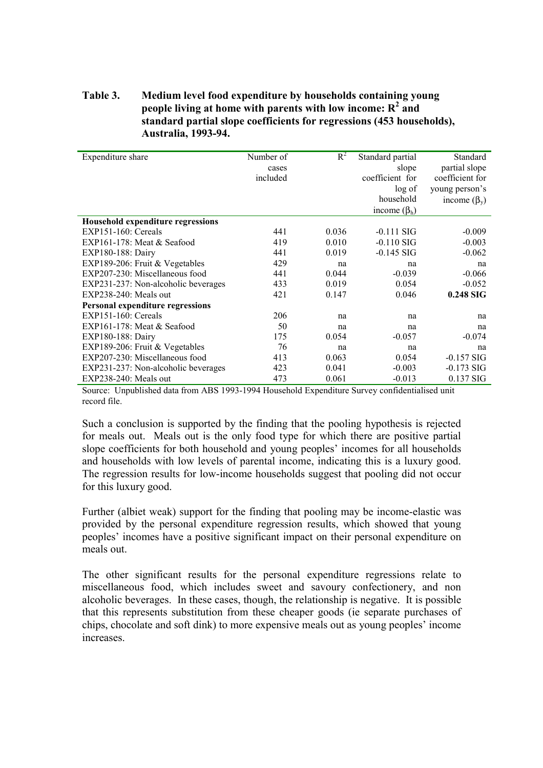#### **Table 3. Medium level food expenditure by households containing young**  people living at home with parents with low income:  $R^2$  and **standard partial slope coefficients for regressions (453 households), Australia, 1993-94.**

| Expenditure share                   | Number of | $R^2$ | Standard partial   | Standard           |
|-------------------------------------|-----------|-------|--------------------|--------------------|
|                                     | cases     |       | slope              | partial slope      |
|                                     | included  |       | coefficient for    | coefficient for    |
|                                     |           |       | log of             | young person's     |
|                                     |           |       | household          | income $(\beta_v)$ |
|                                     |           |       | income $(\beta_h)$ |                    |
| Household expenditure regressions   |           |       |                    |                    |
| $EXP151-160$ : Cereals              | 441       | 0.036 | $-0.111$ SIG       | $-0.009$           |
| EXP161-178: Meat & Seafood          | 419       | 0.010 | $-0.110$ SIG       | $-0.003$           |
|                                     | 441       | 0.019 | $-0.145$ SIG       | $-0.062$           |
| EXP180-188: Dairy                   |           |       |                    |                    |
| EXP189-206: Fruit & Vegetables      | 429       | na    | na                 | na                 |
| EXP207-230: Miscellaneous food      | 441       | 0.044 | $-0.039$           | $-0.066$           |
| EXP231-237: Non-alcoholic beverages | 433       | 0.019 | 0.054              | $-0.052$           |
| $EXP238-240$ : Meals out            | 421       | 0.147 | 0.046              | 0.248 SIG          |
| Personal expenditure regressions    |           |       |                    |                    |
| $EXP151-160$ : Cereals              | 206       | na    | na                 | na                 |
| EXP161-178: Meat & Seafood          | 50        | na    | na                 | na                 |
| EXP180-188: Dairy                   | 175       | 0.054 | $-0.057$           | $-0.074$           |
| EXP189-206: Fruit & Vegetables      | 76        | na    | na                 | na                 |
| EXP207-230: Miscellaneous food      | 413       | 0.063 | 0.054              | $-0.157$ SIG       |
| EXP231-237: Non-alcoholic beverages | 423       | 0.041 | $-0.003$           | $-0.173$ SIG       |
| $EXP238-240$ : Meals out            | 473       | 0.061 | $-0.013$           | $0.137$ SIG        |

Source: Unpublished data from ABS 1993-1994 Household Expenditure Survey confidentialised unit record file.

Such a conclusion is supported by the finding that the pooling hypothesis is rejected for meals out. Meals out is the only food type for which there are positive partial slope coefficients for both household and young peoples' incomes for all households and households with low levels of parental income, indicating this is a luxury good. The regression results for low-income households suggest that pooling did not occur for this luxury good.

Further (albiet weak) support for the finding that pooling may be income-elastic was provided by the personal expenditure regression results, which showed that young peoples' incomes have a positive significant impact on their personal expenditure on meals out.

The other significant results for the personal expenditure regressions relate to miscellaneous food, which includes sweet and savoury confectionery, and non alcoholic beverages. In these cases, though, the relationship is negative. It is possible that this represents substitution from these cheaper goods (ie separate purchases of chips, chocolate and soft dink) to more expensive meals out as young peoples' income increases.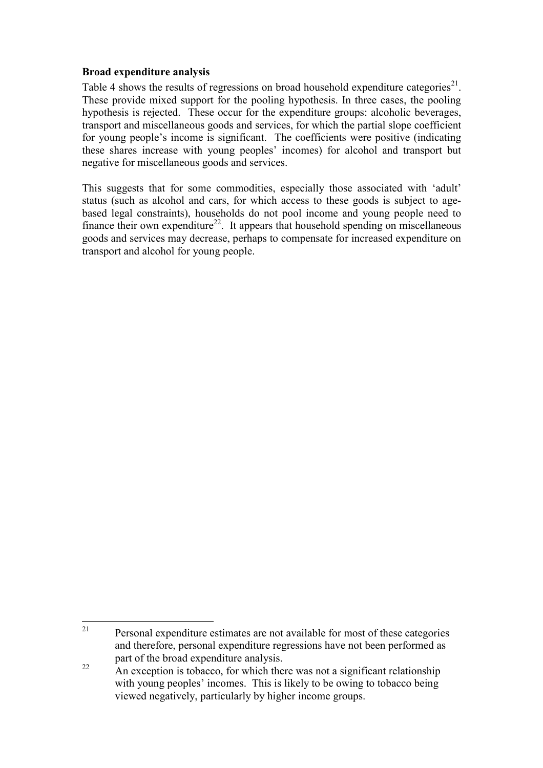#### **Broad expenditure analysis**

Table 4 shows the results of regressions on broad household expenditure categories<sup>21</sup>. These provide mixed support for the pooling hypothesis. In three cases, the pooling hypothesis is rejected. These occur for the expenditure groups: alcoholic beverages, transport and miscellaneous goods and services, for which the partial slope coefficient for young people's income is significant. The coefficients were positive (indicating these shares increase with young peoples' incomes) for alcohol and transport but negative for miscellaneous goods and services.

This suggests that for some commodities, especially those associated with 'adult' status (such as alcohol and cars, for which access to these goods is subject to agebased legal constraints), households do not pool income and young people need to finance their own expenditure<sup>22</sup>. It appears that household spending on miscellaneous goods and services may decrease, perhaps to compensate for increased expenditure on transport and alcohol for young people.

 $21$ Personal expenditure estimates are not available for most of these categories and therefore, personal expenditure regressions have not been performed as part of the broad expenditure analysis.

<sup>&</sup>lt;sup>22</sup> An exception is tobacco, for which there was not a significant relationship with young peoples' incomes. This is likely to be owing to tobacco being viewed negatively, particularly by higher income groups.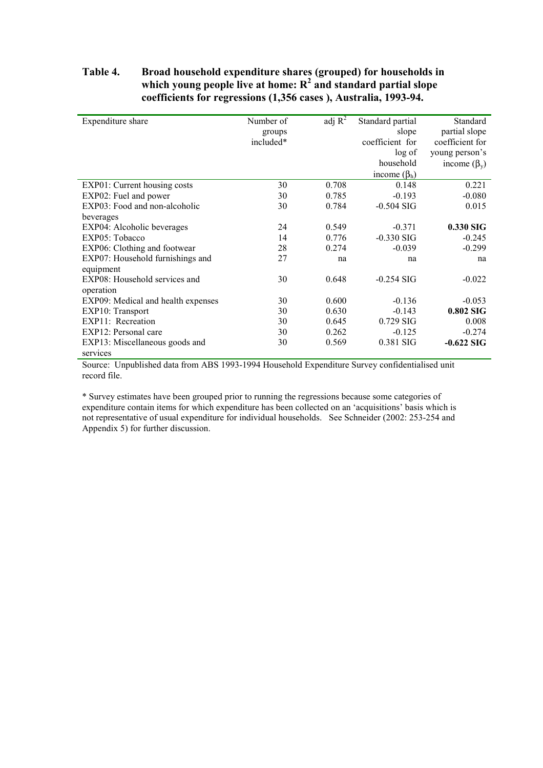#### **Table 4. Broad household expenditure shares (grouped) for households in which young people live at home: R<sup>2</sup> and standard partial slope coefficients for regressions (1,356 cases ), Australia, 1993-94.**

| Expenditure share                  | Number of<br>groups<br>included* | adj $R^2$ | Standard partial<br>slope<br>coefficient for<br>log of<br>household | Standard<br>partial slope<br>coefficient for<br>young person's<br>income $(\beta_v)$ |
|------------------------------------|----------------------------------|-----------|---------------------------------------------------------------------|--------------------------------------------------------------------------------------|
|                                    |                                  |           | income $(\beta_h)$                                                  |                                                                                      |
| EXP01: Current housing costs       | 30                               | 0.708     | 0.148                                                               | 0.221                                                                                |
| EXP02: Fuel and power              | 30                               | 0.785     | $-0.193$                                                            | $-0.080$                                                                             |
| EXP03: Food and non-alcoholic      | 30                               | 0.784     | $-0.504$ SIG                                                        | 0.015                                                                                |
| beverages                          |                                  |           |                                                                     |                                                                                      |
| EXP04: Alcoholic beverages         | 24                               | 0.549     | $-0.371$                                                            | $0.330$ SIG                                                                          |
| EXP05: Tobacco                     | 14                               | 0.776     | $-0.330$ SIG                                                        | $-0.245$                                                                             |
| EXP06: Clothing and footwear       | 28                               | 0.274     | $-0.039$                                                            | $-0.299$                                                                             |
| EXP07: Household furnishings and   | 27                               | na        | na                                                                  | na                                                                                   |
| equipment                          |                                  |           |                                                                     |                                                                                      |
| EXP08: Household services and      | 30                               | 0.648     | $-0.254$ SIG                                                        | $-0.022$                                                                             |
| operation                          |                                  |           |                                                                     |                                                                                      |
| EXP09: Medical and health expenses | 30                               | 0.600     | $-0.136$                                                            | $-0.053$                                                                             |
| EXP10: Transport                   | 30                               | 0.630     | $-0.143$                                                            | 0.802 SIG                                                                            |
| EXP11: Recreation                  | 30                               | 0.645     | $0.729$ SIG                                                         | 0.008                                                                                |
| EXP12: Personal care               | 30                               | 0.262     | $-0.125$                                                            | $-0.274$                                                                             |
| EXP13: Miscellaneous goods and     | 30                               | 0.569     | 0.381 SIG                                                           | $-0.622$ SIG                                                                         |
| services                           |                                  |           |                                                                     |                                                                                      |

Source: Unpublished data from ABS 1993-1994 Household Expenditure Survey confidentialised unit record file.

\* Survey estimates have been grouped prior to running the regressions because some categories of expenditure contain items for which expenditure has been collected on an 'acquisitions' basis which is not representative of usual expenditure for individual households. See Schneider (2002: 253-254 and Appendix 5) for further discussion.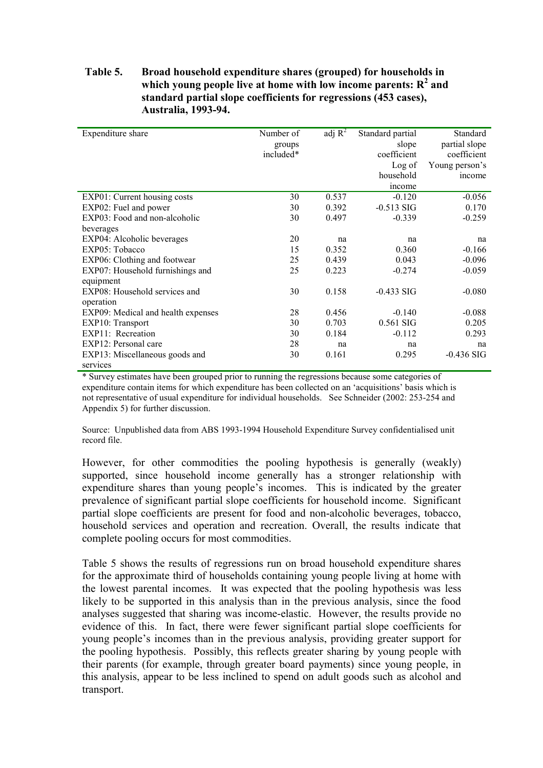#### **Table 5. Broad household expenditure shares (grouped) for households in which young people live at home with low income parents: R<sup>2</sup> and standard partial slope coefficients for regressions (453 cases), Australia, 1993-94.**

| Expenditure share                  | Number of | adj $R^2$ | Standard partial | Standard       |
|------------------------------------|-----------|-----------|------------------|----------------|
|                                    | groups    |           | slope            | partial slope  |
|                                    | included* |           | coefficient      | coefficient    |
|                                    |           |           | Log of           | Young person's |
|                                    |           |           | household        | income         |
|                                    |           |           | income           |                |
| EXP01: Current housing costs       | 30        | 0.537     | $-0.120$         | $-0.056$       |
| EXP02: Fuel and power              | 30        | 0.392     | $-0.513$ SIG     | 0.170          |
| EXP03: Food and non-alcoholic      | 30        | 0.497     | $-0.339$         | $-0.259$       |
| beverages                          |           |           |                  |                |
| EXP04: Alcoholic beverages         | 20        | na        | na               | na             |
| EXP05: Tobacco                     | 15        | 0.352     | 0.360            | $-0.166$       |
| EXP06: Clothing and footwear       | 25        | 0.439     | 0.043            | $-0.096$       |
| EXP07: Household furnishings and   | 25        | 0.223     | $-0.274$         | $-0.059$       |
| equipment                          |           |           |                  |                |
| EXP08: Household services and      | 30        | 0.158     | $-0.433$ SIG     | $-0.080$       |
| operation                          |           |           |                  |                |
| EXP09: Medical and health expenses | 28        | 0.456     | $-0.140$         | $-0.088$       |
| EXP10: Transport                   | 30        | 0.703     | 0.561 SIG        | 0.205          |
| EXP11: Recreation                  | 30        | 0.184     | $-0.112$         | 0.293          |
| EXP12: Personal care               | 28        | na        | na               | na             |
| EXP13: Miscellaneous goods and     | 30        | 0.161     | 0.295            | $-0.436$ SIG   |
| services                           |           |           |                  |                |

\* Survey estimates have been grouped prior to running the regressions because some categories of expenditure contain items for which expenditure has been collected on an 'acquisitions' basis which is not representative of usual expenditure for individual households. See Schneider (2002: 253-254 and Appendix 5) for further discussion.

Source: Unpublished data from ABS 1993-1994 Household Expenditure Survey confidentialised unit record file.

However, for other commodities the pooling hypothesis is generally (weakly) supported, since household income generally has a stronger relationship with expenditure shares than young people's incomes. This is indicated by the greater prevalence of significant partial slope coefficients for household income. Significant partial slope coefficients are present for food and non-alcoholic beverages, tobacco, household services and operation and recreation. Overall, the results indicate that complete pooling occurs for most commodities.

Table 5 shows the results of regressions run on broad household expenditure shares for the approximate third of households containing young people living at home with the lowest parental incomes. It was expected that the pooling hypothesis was less likely to be supported in this analysis than in the previous analysis, since the food analyses suggested that sharing was income-elastic. However, the results provide no evidence of this. In fact, there were fewer significant partial slope coefficients for young people's incomes than in the previous analysis, providing greater support for the pooling hypothesis. Possibly, this reflects greater sharing by young people with their parents (for example, through greater board payments) since young people, in this analysis, appear to be less inclined to spend on adult goods such as alcohol and transport.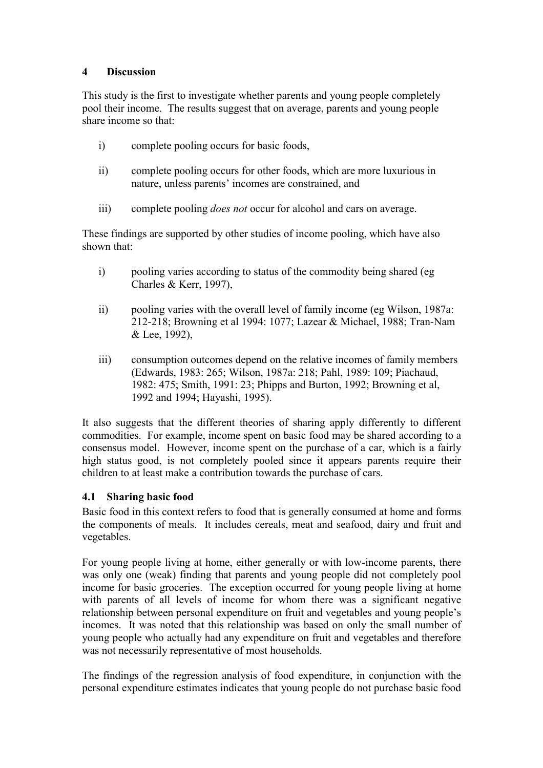### **4 Discussion**

This study is the first to investigate whether parents and young people completely pool their income. The results suggest that on average, parents and young people share income so that:

- i) complete pooling occurs for basic foods,
- ii) complete pooling occurs for other foods, which are more luxurious in nature, unless parents' incomes are constrained, and
- iii) complete pooling *does not* occur for alcohol and cars on average.

These findings are supported by other studies of income pooling, which have also shown that:

- i) pooling varies according to status of the commodity being shared (eg Charles & Kerr, 1997),
- ii) pooling varies with the overall level of family income (eg Wilson, 1987a: 212-218; Browning et al 1994: 1077; Lazear & Michael, 1988; Tran-Nam & Lee, 1992),
- iii) consumption outcomes depend on the relative incomes of family members (Edwards, 1983: 265; Wilson, 1987a: 218; Pahl, 1989: 109; Piachaud, 1982: 475; Smith, 1991: 23; Phipps and Burton, 1992; Browning et al, 1992 and 1994; Hayashi, 1995).

It also suggests that the different theories of sharing apply differently to different commodities. For example, income spent on basic food may be shared according to a consensus model. However, income spent on the purchase of a car, which is a fairly high status good, is not completely pooled since it appears parents require their children to at least make a contribution towards the purchase of cars.

## **4.1 Sharing basic food**

Basic food in this context refers to food that is generally consumed at home and forms the components of meals. It includes cereals, meat and seafood, dairy and fruit and vegetables.

For young people living at home, either generally or with low-income parents, there was only one (weak) finding that parents and young people did not completely pool income for basic groceries. The exception occurred for young people living at home with parents of all levels of income for whom there was a significant negative relationship between personal expenditure on fruit and vegetables and young people's incomes. It was noted that this relationship was based on only the small number of young people who actually had any expenditure on fruit and vegetables and therefore was not necessarily representative of most households.

The findings of the regression analysis of food expenditure, in conjunction with the personal expenditure estimates indicates that young people do not purchase basic food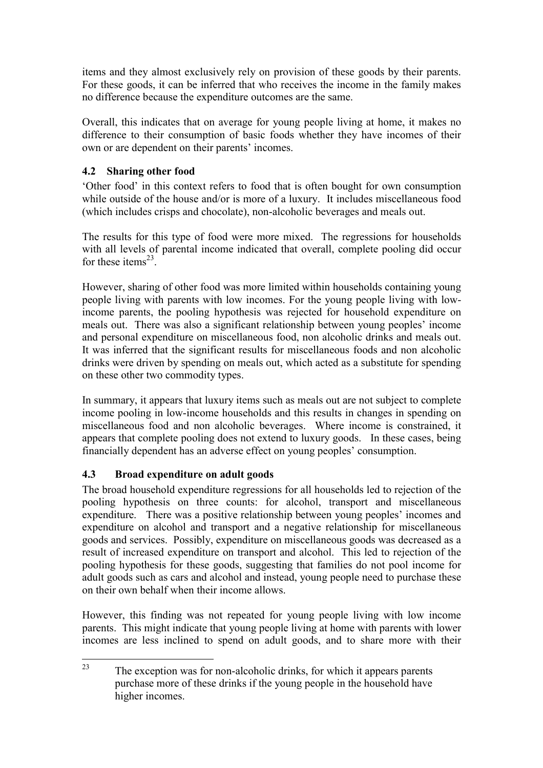items and they almost exclusively rely on provision of these goods by their parents. For these goods, it can be inferred that who receives the income in the family makes no difference because the expenditure outcomes are the same.

Overall, this indicates that on average for young people living at home, it makes no difference to their consumption of basic foods whether they have incomes of their own or are dependent on their parents' incomes.

## **4.2 Sharing other food**

'Other food' in this context refers to food that is often bought for own consumption while outside of the house and/or is more of a luxury. It includes miscellaneous food (which includes crisps and chocolate), non-alcoholic beverages and meals out.

The results for this type of food were more mixed. The regressions for households with all levels of parental income indicated that overall, complete pooling did occur for these items $^{23}$ .

However, sharing of other food was more limited within households containing young people living with parents with low incomes. For the young people living with lowincome parents, the pooling hypothesis was rejected for household expenditure on meals out. There was also a significant relationship between young peoples' income and personal expenditure on miscellaneous food, non alcoholic drinks and meals out. It was inferred that the significant results for miscellaneous foods and non alcoholic drinks were driven by spending on meals out, which acted as a substitute for spending on these other two commodity types.

In summary, it appears that luxury items such as meals out are not subject to complete income pooling in low-income households and this results in changes in spending on miscellaneous food and non alcoholic beverages. Where income is constrained, it appears that complete pooling does not extend to luxury goods. In these cases, being financially dependent has an adverse effect on young peoples' consumption.

## **4.3 Broad expenditure on adult goods**

The broad household expenditure regressions for all households led to rejection of the pooling hypothesis on three counts: for alcohol, transport and miscellaneous expenditure. There was a positive relationship between young peoples' incomes and expenditure on alcohol and transport and a negative relationship for miscellaneous goods and services. Possibly, expenditure on miscellaneous goods was decreased as a result of increased expenditure on transport and alcohol. This led to rejection of the pooling hypothesis for these goods, suggesting that families do not pool income for adult goods such as cars and alcohol and instead, young people need to purchase these on their own behalf when their income allows.

However, this finding was not repeated for young people living with low income parents. This might indicate that young people living at home with parents with lower incomes are less inclined to spend on adult goods, and to share more with their

 $23$ The exception was for non-alcoholic drinks, for which it appears parents purchase more of these drinks if the young people in the household have higher incomes.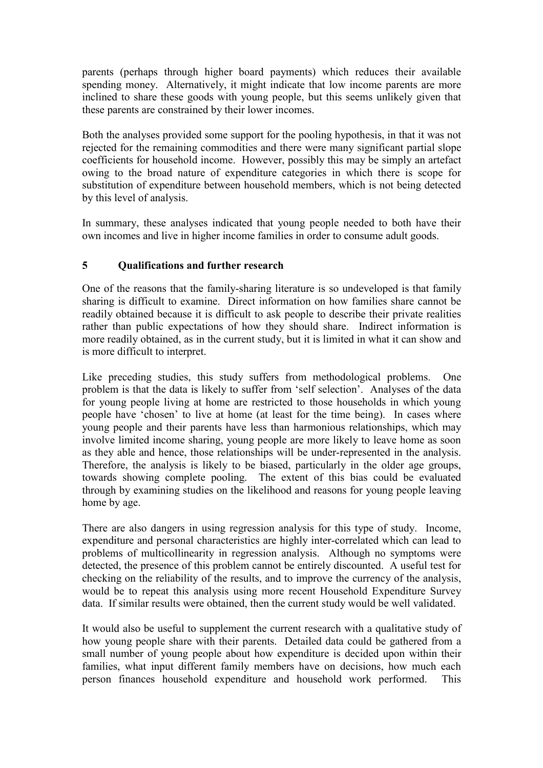parents (perhaps through higher board payments) which reduces their available spending money. Alternatively, it might indicate that low income parents are more inclined to share these goods with young people, but this seems unlikely given that these parents are constrained by their lower incomes.

Both the analyses provided some support for the pooling hypothesis, in that it was not rejected for the remaining commodities and there were many significant partial slope coefficients for household income. However, possibly this may be simply an artefact owing to the broad nature of expenditure categories in which there is scope for substitution of expenditure between household members, which is not being detected by this level of analysis.

In summary, these analyses indicated that young people needed to both have their own incomes and live in higher income families in order to consume adult goods.

## **5 Qualifications and further research**

One of the reasons that the family-sharing literature is so undeveloped is that family sharing is difficult to examine. Direct information on how families share cannot be readily obtained because it is difficult to ask people to describe their private realities rather than public expectations of how they should share. Indirect information is more readily obtained, as in the current study, but it is limited in what it can show and is more difficult to interpret.

Like preceding studies, this study suffers from methodological problems. One problem is that the data is likely to suffer from 'self selection'. Analyses of the data for young people living at home are restricted to those households in which young people have 'chosen' to live at home (at least for the time being). In cases where young people and their parents have less than harmonious relationships, which may involve limited income sharing, young people are more likely to leave home as soon as they able and hence, those relationships will be under-represented in the analysis. Therefore, the analysis is likely to be biased, particularly in the older age groups, towards showing complete pooling. The extent of this bias could be evaluated through by examining studies on the likelihood and reasons for young people leaving home by age.

There are also dangers in using regression analysis for this type of study. Income, expenditure and personal characteristics are highly inter-correlated which can lead to problems of multicollinearity in regression analysis. Although no symptoms were detected, the presence of this problem cannot be entirely discounted. A useful test for checking on the reliability of the results, and to improve the currency of the analysis, would be to repeat this analysis using more recent Household Expenditure Survey data. If similar results were obtained, then the current study would be well validated.

It would also be useful to supplement the current research with a qualitative study of how young people share with their parents. Detailed data could be gathered from a small number of young people about how expenditure is decided upon within their families, what input different family members have on decisions, how much each person finances household expenditure and household work performed. This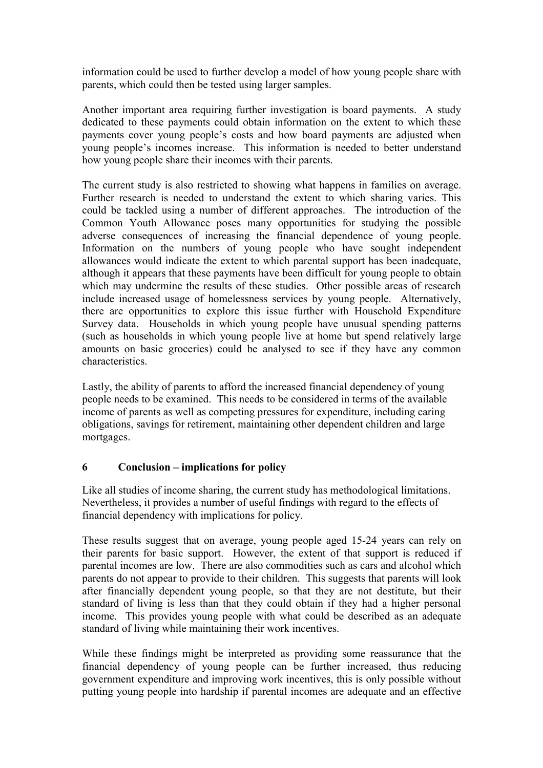information could be used to further develop a model of how young people share with parents, which could then be tested using larger samples.

Another important area requiring further investigation is board payments. A study dedicated to these payments could obtain information on the extent to which these payments cover young people's costs and how board payments are adjusted when young people's incomes increase. This information is needed to better understand how young people share their incomes with their parents.

The current study is also restricted to showing what happens in families on average. Further research is needed to understand the extent to which sharing varies. This could be tackled using a number of different approaches. The introduction of the Common Youth Allowance poses many opportunities for studying the possible adverse consequences of increasing the financial dependence of young people. Information on the numbers of young people who have sought independent allowances would indicate the extent to which parental support has been inadequate, although it appears that these payments have been difficult for young people to obtain which may undermine the results of these studies. Other possible areas of research include increased usage of homelessness services by young people. Alternatively, there are opportunities to explore this issue further with Household Expenditure Survey data. Households in which young people have unusual spending patterns (such as households in which young people live at home but spend relatively large amounts on basic groceries) could be analysed to see if they have any common characteristics.

Lastly, the ability of parents to afford the increased financial dependency of young people needs to be examined. This needs to be considered in terms of the available income of parents as well as competing pressures for expenditure, including caring obligations, savings for retirement, maintaining other dependent children and large mortgages.

#### **6 Conclusion – implications for policy**

Like all studies of income sharing, the current study has methodological limitations. Nevertheless, it provides a number of useful findings with regard to the effects of financial dependency with implications for policy.

These results suggest that on average, young people aged 15-24 years can rely on their parents for basic support. However, the extent of that support is reduced if parental incomes are low. There are also commodities such as cars and alcohol which parents do not appear to provide to their children. This suggests that parents will look after financially dependent young people, so that they are not destitute, but their standard of living is less than that they could obtain if they had a higher personal income. This provides young people with what could be described as an adequate standard of living while maintaining their work incentives.

While these findings might be interpreted as providing some reassurance that the financial dependency of young people can be further increased, thus reducing government expenditure and improving work incentives, this is only possible without putting young people into hardship if parental incomes are adequate and an effective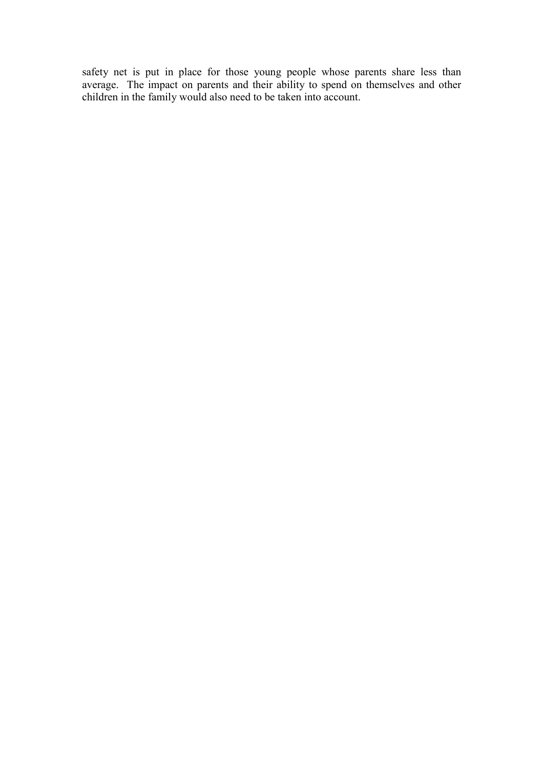safety net is put in place for those young people whose parents share less than average. The impact on parents and their ability to spend on themselves and other children in the family would also need to be taken into account.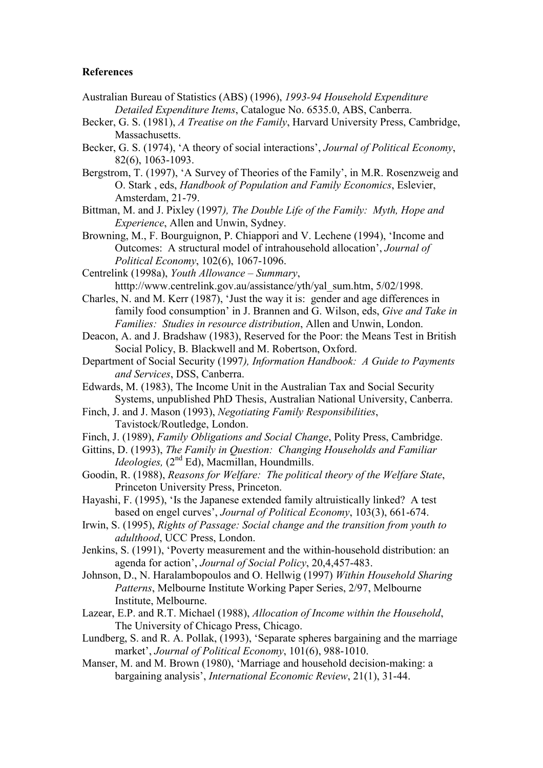#### **References**

- Australian Bureau of Statistics (ABS) (1996), *1993-94 Household Expenditure Detailed Expenditure Items*, Catalogue No. 6535.0, ABS, Canberra.
- Becker, G. S. (1981), *A Treatise on the Family*, Harvard University Press, Cambridge, Massachusetts.
- Becker, G. S. (1974), 'A theory of social interactions', *Journal of Political Economy*, 82(6), 1063-1093.
- Bergstrom, T. (1997), 'A Survey of Theories of the Family', in M.R. Rosenzweig and O. Stark , eds, *Handbook of Population and Family Economics*, Eslevier, Amsterdam, 21-79.
- Bittman, M. and J. Pixley (1997*), The Double Life of the Family: Myth, Hope and Experience*, Allen and Unwin, Sydney.
- Browning, M., F. Bourguignon, P. Chiappori and V. Lechene (1994), 'Income and Outcomes: A structural model of intrahousehold allocation', *Journal of Political Economy*, 102(6), 1067-1096.

Centrelink (1998a), *Youth Allowance – Summary*, htttp://www.centrelink.gov.au/assistance/yth/yal\_sum.htm, 5/02/1998.

Charles, N. and M. Kerr (1987), 'Just the way it is: gender and age differences in family food consumption' in J. Brannen and G. Wilson, eds, *Give and Take in Families: Studies in resource distribution*, Allen and Unwin, London.

- Deacon, A. and J. Bradshaw (1983), Reserved for the Poor: the Means Test in British Social Policy, B. Blackwell and M. Robertson, Oxford.
- Department of Social Security (1997*), Information Handbook: A Guide to Payments and Services*, DSS, Canberra.
- Edwards, M. (1983), The Income Unit in the Australian Tax and Social Security Systems, unpublished PhD Thesis, Australian National University, Canberra.
- Finch, J. and J. Mason (1993), *Negotiating Family Responsibilities*, Tavistock/Routledge, London.
- Finch, J. (1989), *Family Obligations and Social Change*, Polity Press, Cambridge.
- Gittins, D. (1993), *The Family in Question: Changing Households and Familiar Ideologies,* (2<sup>nd</sup> Ed), Macmillan, Houndmills.
- Goodin, R. (1988), *Reasons for Welfare: The political theory of the Welfare State*, Princeton University Press, Princeton.
- Hayashi, F. (1995), 'Is the Japanese extended family altruistically linked? A test based on engel curves', *Journal of Political Economy*, 103(3), 661-674.
- Irwin, S. (1995), *Rights of Passage: Social change and the transition from youth to adulthood*, UCC Press, London.
- Jenkins, S. (1991), 'Poverty measurement and the within-household distribution: an agenda for action', *Journal of Social Policy*, 20,4,457-483.
- Johnson, D., N. Haralambopoulos and O. Hellwig (1997) *Within Household Sharing Patterns*, Melbourne Institute Working Paper Series, 2/97, Melbourne Institute, Melbourne.
- Lazear, E.P. and R.T. Michael (1988), *Allocation of Income within the Household*, The University of Chicago Press, Chicago.
- Lundberg, S. and R. A. Pollak, (1993), 'Separate spheres bargaining and the marriage market', *Journal of Political Economy*, 101(6), 988-1010.
- Manser, M. and M. Brown (1980), 'Marriage and household decision-making: a bargaining analysis', *International Economic Review*, 21(1), 31-44.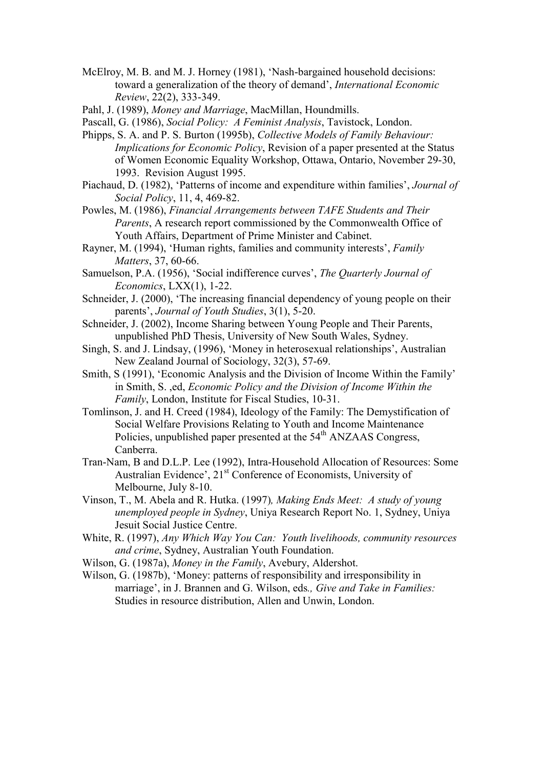- McElroy, M. B. and M. J. Horney (1981), 'Nash-bargained household decisions: toward a generalization of the theory of demand', *International Economic Review*, 22(2), 333-349.
- Pahl, J. (1989), *Money and Marriage*, MacMillan, Houndmills.
- Pascall, G. (1986), *Social Policy: A Feminist Analysis*, Tavistock, London.
- Phipps, S. A. and P. S. Burton (1995b), *Collective Models of Family Behaviour: Implications for Economic Policy*, Revision of a paper presented at the Status of Women Economic Equality Workshop, Ottawa, Ontario, November 29-30, 1993. Revision August 1995.
- Piachaud, D. (1982), 'Patterns of income and expenditure within families', *Journal of Social Policy*, 11, 4, 469-82.
- Powles, M. (1986), *Financial Arrangements between TAFE Students and Their Parents*, A research report commissioned by the Commonwealth Office of Youth Affairs, Department of Prime Minister and Cabinet.
- Rayner, M. (1994), 'Human rights, families and community interests', *Family Matters*, 37, 60-66.
- Samuelson, P.A. (1956), 'Social indifference curves', *The Quarterly Journal of Economics*, LXX(1), 1-22.
- Schneider, J. (2000), 'The increasing financial dependency of young people on their parents', *Journal of Youth Studies*, 3(1), 5-20.
- Schneider, J. (2002), Income Sharing between Young People and Their Parents, unpublished PhD Thesis, University of New South Wales, Sydney.
- Singh, S. and J. Lindsay, (1996), 'Money in heterosexual relationships', Australian New Zealand Journal of Sociology, 32(3), 57-69.
- Smith, S (1991), 'Economic Analysis and the Division of Income Within the Family' in Smith, S. ,ed, *Economic Policy and the Division of Income Within the Family*, London, Institute for Fiscal Studies, 10-31.
- Tomlinson, J. and H. Creed (1984), Ideology of the Family: The Demystification of Social Welfare Provisions Relating to Youth and Income Maintenance Policies, unpublished paper presented at the 54<sup>th</sup> ANZAAS Congress, Canberra.
- Tran-Nam, B and D.L.P. Lee (1992), Intra-Household Allocation of Resources: Some Australian Evidence', 21<sup>st</sup> Conference of Economists, University of Melbourne, July 8-10.
- Vinson, T., M. Abela and R. Hutka. (1997)*, Making Ends Meet: A study of young unemployed people in Sydney*, Uniya Research Report No. 1, Sydney, Uniya Jesuit Social Justice Centre.
- White, R. (1997), *Any Which Way You Can: Youth livelihoods, community resources and crime*, Sydney, Australian Youth Foundation.
- Wilson, G. (1987a), *Money in the Family*, Avebury, Aldershot.
- Wilson, G. (1987b), 'Money: patterns of responsibility and irresponsibility in marriage', in J. Brannen and G. Wilson, eds*., Give and Take in Families:*  Studies in resource distribution, Allen and Unwin, London.